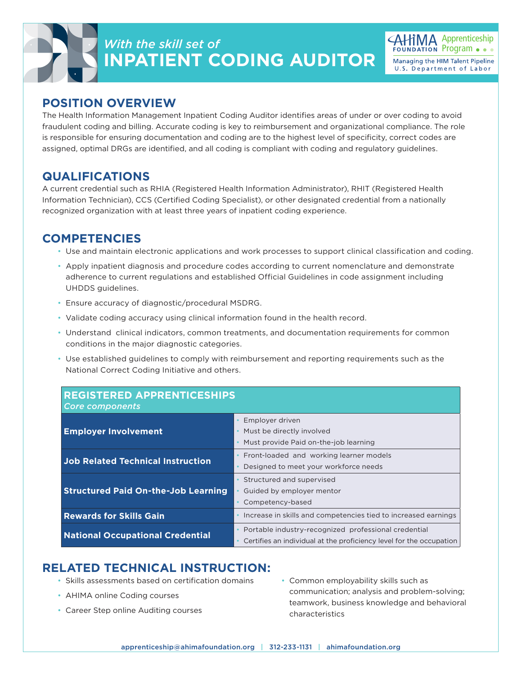



## **POSITION OVERVIEW**

The Health Information Management Inpatient Coding Auditor identifies areas of under or over coding to avoid fraudulent coding and billing. Accurate coding is key to reimbursement and organizational compliance. The role is responsible for ensuring documentation and coding are to the highest level of specificity, correct codes are assigned, optimal DRGs are identified, and all coding is compliant with coding and regulatory guidelines.

## **QUALIFICATIONS**

A current credential such as RHIA (Registered Health Information Administrator), RHIT (Registered Health Information Technician), CCS (Certified Coding Specialist), or other designated credential from a nationally recognized organization with at least three years of inpatient coding experience.

## **COMPETENCIES**

- Use and maintain electronic applications and work processes to support clinical classification and coding.
- Apply inpatient diagnosis and procedure codes according to current nomenclature and demonstrate adherence to current regulations and established Official Guidelines in code assignment including UHDDS guidelines.
- Ensure accuracy of diagnostic/procedural MSDRG.
- Validate coding accuracy using clinical information found in the health record.
- Understand clinical indicators, common treatments, and documentation requirements for common conditions in the major diagnostic categories.
- Use established guidelines to comply with reimbursement and reporting requirements such as the National Correct Coding Initiative and others.

| <b>REGISTERED APPRENTICESHIPS</b><br><b>Core components</b> |                                                                                                                             |
|-------------------------------------------------------------|-----------------------------------------------------------------------------------------------------------------------------|
| <b>Employer Involvement</b>                                 | Employer driven<br>Must be directly involved<br>Must provide Paid on-the-job learning                                       |
| <b>Job Related Technical Instruction</b>                    | Front-loaded and working learner models<br>Designed to meet your workforce needs                                            |
| <b>Structured Paid On-the-Job Learning</b>                  | Structured and supervised<br>Guided by employer mentor<br>Competency-based                                                  |
| <b>Rewards for Skills Gain</b>                              | Increase in skills and competencies tied to increased earnings                                                              |
| <b>National Occupational Credential</b>                     | Portable industry-recognized professional credential<br>Certifies an individual at the proficiency level for the occupation |

## **RELATED TECHNICAL INSTRUCTION:**

- Skills assessments based on certification domains
- AHIMA online Coding courses
- Career Step online Auditing courses

• Common employability skills such as communication; analysis and problem-solving; teamwork, business knowledge and behavioral characteristics